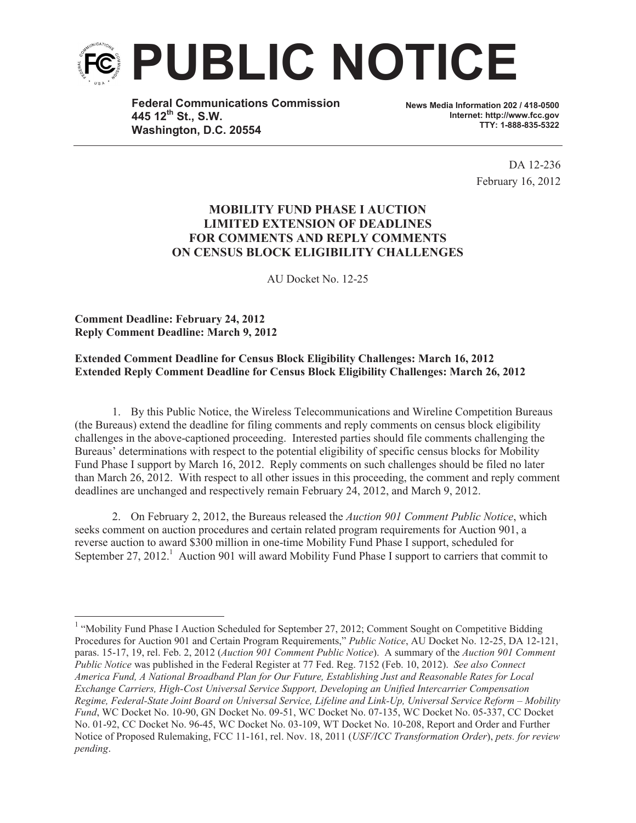

**Federal Communications Commission 445 12th St., S.W. Washington, D.C. 20554**

**News Media Information 202 / 418-0500 Internet: http://www.fcc.gov TTY: 1-888-835-5322**

> DA 12-236 February 16, 2012

## **MOBILITY FUND PHASE I AUCTION LIMITED EXTENSION OF DEADLINES FOR COMMENTS AND REPLY COMMENTS ON CENSUS BLOCK ELIGIBILITY CHALLENGES**

AU Docket No. 12-25

**Comment Deadline: February 24, 2012 Reply Comment Deadline: March 9, 2012**

## **Extended Comment Deadline for Census Block Eligibility Challenges: March 16, 2012 Extended Reply Comment Deadline for Census Block Eligibility Challenges: March 26, 2012**

1. By this Public Notice, the Wireless Telecommunications and Wireline Competition Bureaus (the Bureaus) extend the deadline for filing comments and reply comments on census block eligibility challenges in the above-captioned proceeding. Interested parties should file comments challenging the Bureaus' determinations with respect to the potential eligibility of specific census blocks for Mobility Fund Phase I support by March 16, 2012. Reply comments on such challenges should be filed no later than March 26, 2012. With respect to all other issues in this proceeding, the comment and reply comment deadlines are unchanged and respectively remain February 24, 2012, and March 9, 2012.

2. On February 2, 2012, the Bureaus released the *Auction 901 Comment Public Notice*, which seeks comment on auction procedures and certain related program requirements for Auction 901, a reverse auction to award \$300 million in one-time Mobility Fund Phase I support, scheduled for September 27, 2012.<sup>1</sup> Auction 901 will award Mobility Fund Phase I support to carriers that commit to

<sup>&</sup>lt;sup>1</sup> "Mobility Fund Phase I Auction Scheduled for September 27, 2012; Comment Sought on Competitive Bidding Procedures for Auction 901 and Certain Program Requirements," *Public Notice*, AU Docket No. 12-25, DA 12-121, paras. 15-17, 19, rel. Feb. 2, 2012 (*Auction 901 Comment Public Notice*). A summary of the *Auction 901 Comment Public Notice* was published in the Federal Register at 77 Fed. Reg. 7152 (Feb. 10, 2012). *See also Connect America Fund, A National Broadband Plan for Our Future, Establishing Just and Reasonable Rates for Local Exchange Carriers, High-Cost Universal Service Support, Developing an Unified Intercarrier Compensation Regime, Federal-State Joint Board on Universal Service, Lifeline and Link-Up, Universal Service Reform – Mobility Fund*, WC Docket No. 10-90, GN Docket No. 09-51, WC Docket No. 07-135, WC Docket No. 05-337, CC Docket No. 01-92, CC Docket No. 96-45, WC Docket No. 03-109, WT Docket No. 10-208, Report and Order and Further Notice of Proposed Rulemaking, FCC 11-161, rel. Nov. 18, 2011 (*USF/ICC Transformation Order*), *pets. for review pending*.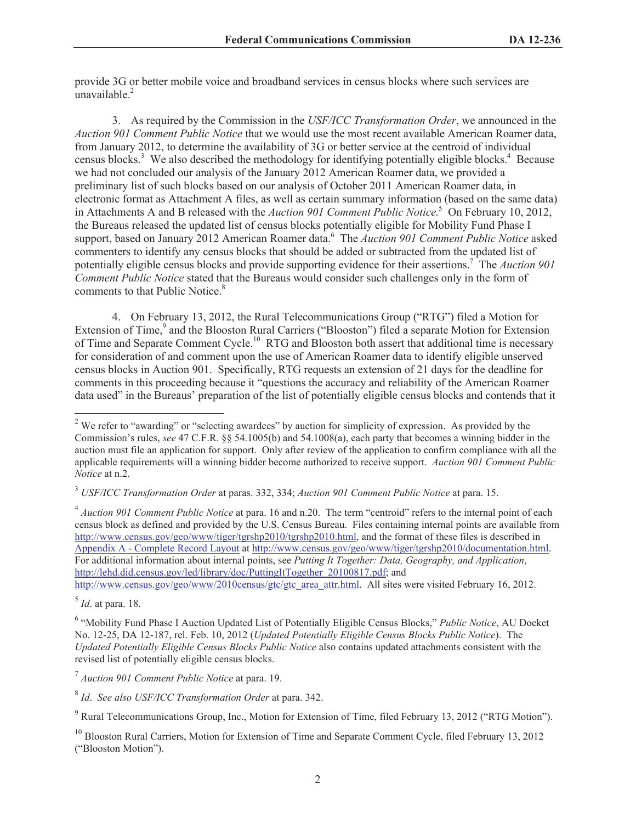provide 3G or better mobile voice and broadband services in census blocks where such services are unavailable $^2$ 

3. As required by the Commission in the *USF/ICC Transformation Order*, we announced in the *Auction 901 Comment Public Notice* that we would use the most recent available American Roamer data, from January 2012, to determine the availability of 3G or better service at the centroid of individual census blocks.<sup>3</sup> We also described the methodology for identifying potentially eligible blocks.<sup>4</sup> Because we had not concluded our analysis of the January 2012 American Roamer data, we provided a preliminary list of such blocks based on our analysis of October 2011 American Roamer data, in electronic format as Attachment A files, as well as certain summary information (based on the same data) in Attachments A and B released with the *Auction 901 Comment Public Notice.*<sup>5</sup> On February 10, 2012, the Bureaus released the updated list of census blocks potentially eligible for Mobility Fund Phase I support, based on January 2012 American Roamer data.<sup>6</sup> The *Auction 901 Comment Public Notice* asked commenters to identify any census blocks that should be added or subtracted from the updated list of potentially eligible census blocks and provide supporting evidence for their assertions.<sup>7</sup> The *Auction 901 Comment Public Notice* stated that the Bureaus would consider such challenges only in the form of comments to that Public Notice.<sup>8</sup>

4. On February 13, 2012, the Rural Telecommunications Group ("RTG") filed a Motion for Extension of Time,<sup>9</sup> and the Blooston Rural Carriers ("Blooston") filed a separate Motion for Extension of Time and Separate Comment Cycle.<sup>10</sup> RTG and Blooston both assert that additional time is necessary for consideration of and comment upon the use of American Roamer data to identify eligible unserved census blocks in Auction 901. Specifically, RTG requests an extension of 21 days for the deadline for comments in this proceeding because it "questions the accuracy and reliability of the American Roamer data used" in the Bureaus' preparation of the list of potentially eligible census blocks and contends that it

<sup>4</sup> Auction 901 Comment Public Notice at para. 16 and n.20. The term "centroid" refers to the internal point of each census block as defined and provided by the U.S. Census Bureau. Files containing internal points are available from http://www.census.gov/geo/www/tiger/tgrshp2010/tgrshp2010.html, and the format of these files is described in Appendix A - Complete Record Layout at http://www.census.gov/geo/www/tiger/tgrshp2010/documentation.html. For additional information about internal points, see *Putting It Together: Data, Geography, and Application*, http://lehd.did.census.gov/led/library/doc/PuttingItTogether\_20100817.pdf; and http://www.census.gov/geo/www/2010census/gtc/gtc\_area\_attr.html. All sites were visited February 16, 2012.

<sup>&</sup>lt;sup>2</sup> We refer to "awarding" or "selecting awardees" by auction for simplicity of expression. As provided by the Commission's rules, *see* 47 C.F.R. §§ 54.1005(b) and 54.1008(a), each party that becomes a winning bidder in the auction must file an application for support. Only after review of the application to confirm compliance with all the applicable requirements will a winning bidder become authorized to receive support. *Auction 901 Comment Public Notice* at n.2.

<sup>3</sup> *USF/ICC Transformation Order* at paras. 332, 334; *Auction 901 Comment Public Notice* at para. 15.

<sup>5</sup> *Id*. at para. 18.

<sup>6</sup> "Mobility Fund Phase I Auction Updated List of Potentially Eligible Census Blocks," *Public Notice*, AU Docket No. 12-25, DA 12-187, rel. Feb. 10, 2012 (*Updated Potentially Eligible Census Blocks Public Notice*). The *Updated Potentially Eligible Census Blocks Public Notice* also contains updated attachments consistent with the revised list of potentially eligible census blocks.

<sup>7</sup> *Auction 901 Comment Public Notice* at para. 19.

<sup>8</sup> *Id*. *See also USF/ICC Transformation Order* at para. 342.

<sup>&</sup>lt;sup>9</sup> Rural Telecommunications Group, Inc., Motion for Extension of Time, filed February 13, 2012 ("RTG Motion").

<sup>&</sup>lt;sup>10</sup> Blooston Rural Carriers, Motion for Extension of Time and Separate Comment Cycle, filed February 13, 2012 ("Blooston Motion").